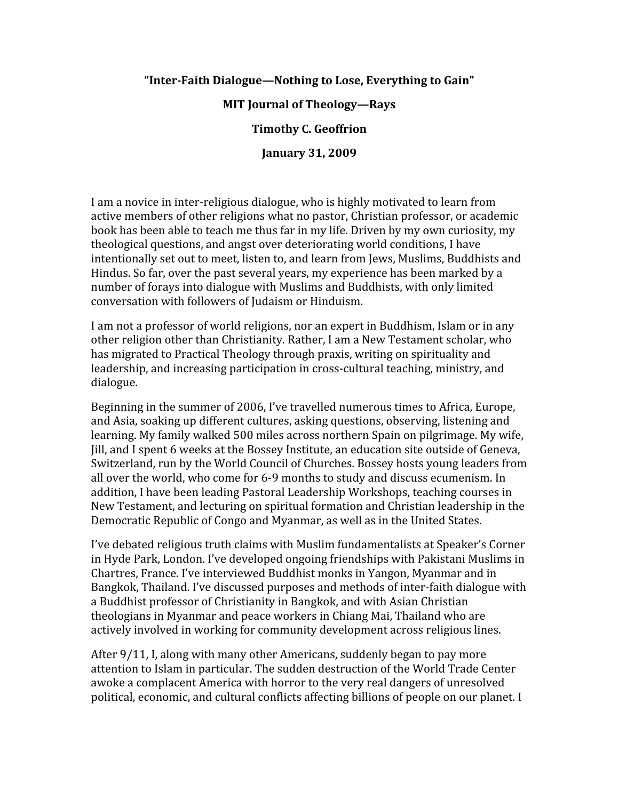#### **"InterFaith Dialogue—Nothing to Lose, Everything to Gain"**

### **MIT Journal of Theology—Rays**

#### **Timothy C. Geoffrion**

**January 31, 2009**

I am a novice in inter‐religious dialogue, who is highly motivated to learn from active members of other religions what no pastor, Christian professor, or academic book has been able to teach me thus far in my life. Driven by my own curiosity, my theological questions, and angst over deteriorating world conditions, I have intentionally set out to meet, listen to, and learn from Jews, Muslims, Buddhists and Hindus. So far, over the past several years, my experience has been marked by a number of forays into dialogue with Muslims and Buddhists, with only limited conversation with followers of Judaism or Hinduism.

I am not a professor of world religions, nor an expert in Buddhism, Islam or in any other religion other than Christianity. Rather, I am a New Testament scholar, who has migrated to Practical Theology through praxis, writing on spirituality and leadership, and increasing participation in cross‐cultural teaching, ministry, and dialogue.

Beginning in the summer of 2006, I've travelled numerous times to Africa, Europe, and Asia, soaking up different cultures, asking questions, observing, listening and learning. My family walked 500 miles across northern Spain on pilgrimage. My wife, Jill, and I spent 6 weeks at the Bossey Institute, an education site outside of Geneva, Switzerland, run by the World Council of Churches. Bossey hosts young leaders from all over the world, who come for 6‐9 months to study and discuss ecumenism. In addition, I have been leading Pastoral Leadership Workshops, teaching courses in New Testament, and lecturing on spiritual formation and Christian leadership in the Democratic Republic of Congo and Myanmar, as well as in the United States.

I've debated religious truth claims with Muslim fundamentalists at Speaker's Corner in Hyde Park, London. I've developed ongoing friendships with Pakistani Muslims in Chartres, France. I've interviewed Buddhist monks in Yangon, Myanmar and in Bangkok, Thailand. I've discussed purposes and methods of inter‐faith dialogue with a Buddhist professor of Christianity in Bangkok, and with Asian Christian theologians in Myanmar and peace workers in Chiang Mai, Thailand who are actively involved in working for community development across religious lines.

After 9/11, I, along with many other Americans, suddenly began to pay more attention to Islam in particular. The sudden destruction of the World Trade Center awoke a complacent America with horror to the very real dangers of unresolved political, economic, and cultural conflicts affecting billions of people on our planet. I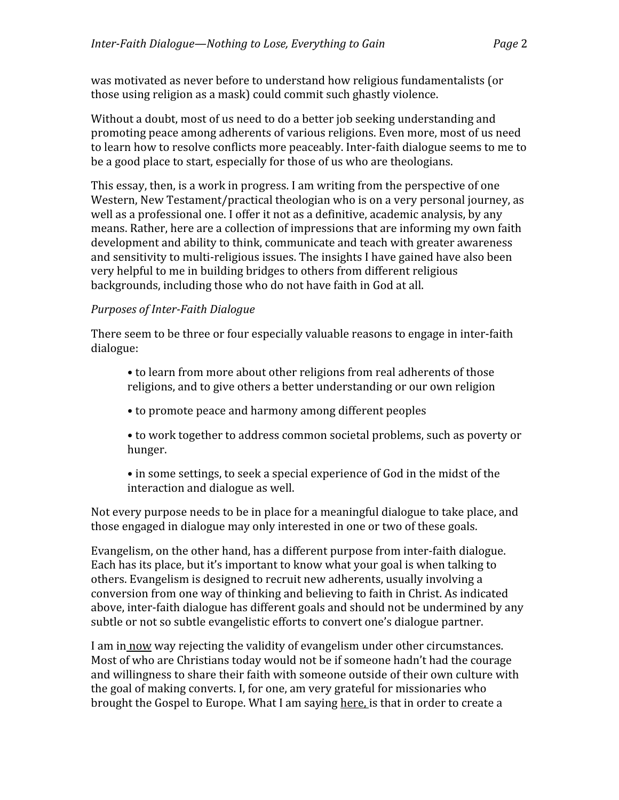was motivated as never before to understand how religious fundamentalists (or those using religion as a mask) could commit such ghastly violence.

Without a doubt, most of us need to do a better job seeking understanding and promoting peace among adherents of various religions. Even more, most of us need to learn how to resolve conflicts more peaceably. Inter‐faith dialogue seems to me to be a good place to start, especially for those of us who are theologians.

This essay, then, is a work in progress. I am writing from the perspective of one Western, New Testament/practical theologian who is on a very personal journey, as well as a professional one. I offer it not as a definitive, academic analysis, by any means. Rather, here are a collection of impressions that are informing my own faith development and ability to think, communicate and teach with greater awareness and sensitivity to multi‐religious issues. The insights I have gained have also been very helpful to me in building bridges to others from different religious backgrounds, including those who do not have faith in God at all.

# **Purposes of Inter-Faith Dialogue**

There seem to be three or four especially valuable reasons to engage in inter-faith dialogue:

- to learn from more about other religions from real adherents of those religions, and to give others a better understanding or our own religion
- to promote peace and harmony among different peoples
- to work together to address common societal problems, such as poverty or hunger.
- in some settings, to seek a special experience of God in the midst of the interaction and dialogue as well.

Not every purpose needs to be in place for a meaningful dialogue to take place, and those engaged in dialogue may only interested in one or two of these goals.

Evangelism, on the other hand, has a different purpose from inter‐faith dialogue. Each has its place, but it's important to know what your goal is when talking to others. Evangelism is designed to recruit new adherents, usually involving a conversion from one way of thinking and believing to faith in Christ. As indicated above, inter‐faith dialogue has different goals and should not be undermined by any subtle or not so subtle evangelistic efforts to convert one's dialogue partner.

I am in now way rejecting the validity of evangelism under other circumstances. Most of who are Christians today would not be if someone hadn't had the courage and willingness to share their faith with someone outside of their own culture with the goal of making converts. I, for one, am very grateful for missionaries who brought the Gospel to Europe. What I am saying here, is that in order to create a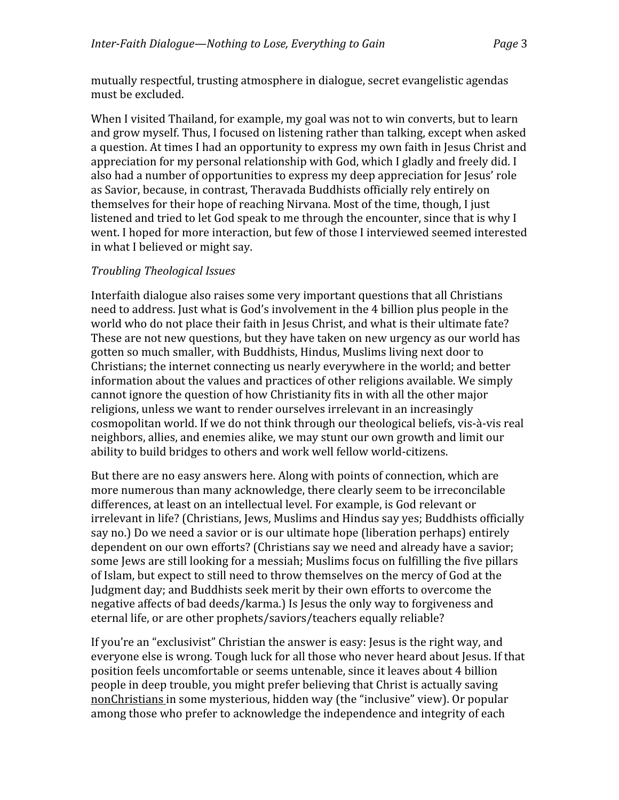mutually respectful, trusting atmosphere in dialogue, secret evangelistic agendas must be excluded.

When I visited Thailand, for example, my goal was not to win converts, but to learn and grow myself. Thus, I focused on listening rather than talking, except when asked a question. At times I had an opportunity to express my own faith in Jesus Christ and appreciation for my personal relationship with God, which I gladly and freely did. I also had a number of opportunities to express my deep appreciation for Jesus' role as Savior, because, in contrast, Theravada Buddhists officially rely entirely on themselves for their hope of reaching Nirvana. Most of the time, though, I just listened and tried to let God speak to me through the encounter, since that is why I went. I hoped for more interaction, but few of those I interviewed seemed interested in what I believed or might say.

# *Troubling Theological Issues*

Interfaith dialogue also raises some very important questions that all Christians need to address. Just what is God's involvement in the 4 billion plus people in the world who do not place their faith in Jesus Christ, and what is their ultimate fate? These are not new questions, but they have taken on new urgency as our world has gotten so much smaller, with Buddhists, Hindus, Muslims living next door to Christians; the internet connecting us nearly everywhere in the world; and better information about the values and practices of other religions available. We simply cannot ignore the question of how Christianity fits in with all the other major religions, unless we want to render ourselves irrelevant in an increasingly cosmopolitan world. If we do not think through our theological beliefs, vis‐à‐vis real neighbors, allies, and enemies alike, we may stunt our own growth and limit our ability to build bridges to others and work well fellow world‐citizens.

But there are no easy answers here. Along with points of connection, which are more numerous than many acknowledge, there clearly seem to be irreconcilable differences, at least on an intellectual level. For example, is God relevant or irrelevant in life? (Christians, Jews, Muslims and Hindus say yes; Buddhists officially say no.) Do we need a savior or is our ultimate hope (liberation perhaps) entirely dependent on our own efforts? (Christians say we need and already have a savior; some Jews are still looking for a messiah; Muslims focus on fulfilling the five pillars of Islam, but expect to still need to throw themselves on the mercy of God at the Judgment day; and Buddhists seek merit by their own efforts to overcome the negative affects of bad deeds/karma.) Is Jesus the only way to forgiveness and eternal life, or are other prophets/saviors/teachers equally reliable?

If you're an "exclusivist" Christian the answer is easy: Jesus is the right way, and everyone else is wrong. Tough luck for all those who never heard about Jesus. If that position feels uncomfortable or seems untenable, since it leaves about 4 billion people in deep trouble, you might prefer believing that Christ is actually saving nonChristians in some mysterious, hidden way (the "inclusive" view). Or popular among those who prefer to acknowledge the independence and integrity of each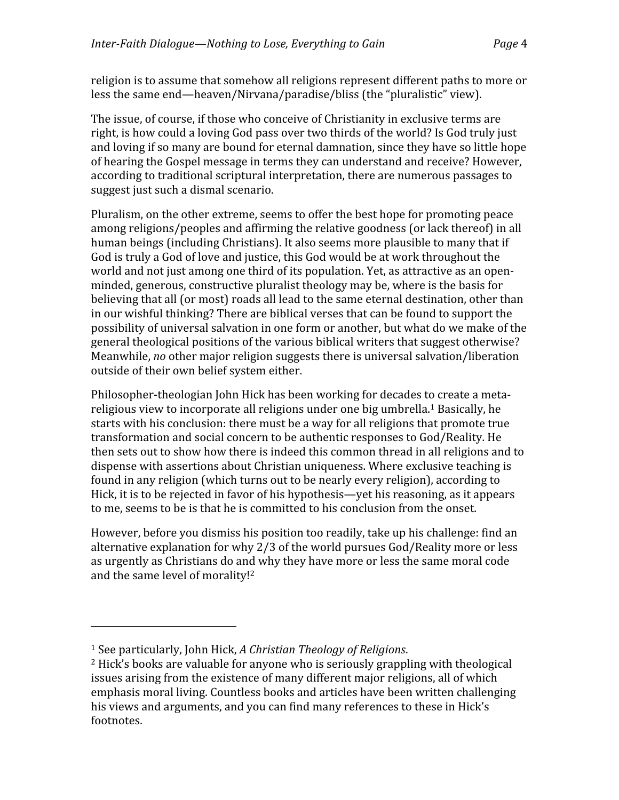religion is to assume that somehow all religions represent different paths to more or less the same end—heaven/Nirvana/paradise/bliss (the "pluralistic" view).

The issue, of course, if those who conceive of Christianity in exclusive terms are right, is how could a loving God pass over two thirds of the world? Is God truly just and loving if so many are bound for eternal damnation, since they have so little hope of hearing the Gospel message in terms they can understand and receive? However, according to traditional scriptural interpretation, there are numerous passages to suggest just such a dismal scenario.

Pluralism, on the other extreme, seems to offer the best hope for promoting peace among religions/peoples and affirming the relative goodness (or lack thereof) in all human beings (including Christians). It also seems more plausible to many that if God is truly a God of love and justice, this God would be at work throughout the world and not just among one third of its population. Yet, as attractive as an open‐ minded, generous, constructive pluralist theology may be, where is the basis for believing that all (or most) roads all lead to the same eternal destination, other than in our wishful thinking? There are biblical verses that can be found to support the possibility of universal salvation in one form or another, but what do we make of the general theological positions of the various biblical writers that suggest otherwise? Meanwhile, *no* other major religion suggests there is universal salvation/liberation outside of their own belief system either.

Philosopher‐theologian John Hick has been working for decades to create a meta‐ religious view to incorporate all religions under one big umbrella.1 Basically, he starts with his conclusion: there must be a way for all religions that promote true transformation and social concern to be authentic responses to God/Reality. He then sets out to show how there is indeed this common thread in all religions and to dispense with assertions about Christian uniqueness. Where exclusive teaching is found in any religion (which turns out to be nearly every religion), according to Hick, it is to be rejected in favor of his hypothesis—yet his reasoning, as it appears to me, seems to be is that he is committed to his conclusion from the onset.

However, before you dismiss his position too readily, take up his challenge: find an alternative explanation for why 2/3 of the world pursues God/Reality more or less as urgently as Christians do and why they have more or less the same moral code and the same level of morality!2

<sup>1</sup> See particularly, John Hick, *A Christian Theology of Religions*.

<sup>2</sup> Hick's books are valuable for anyone who is seriously grappling with theological issues arising from the existence of many different major religions, all of which emphasis moral living. Countless books and articles have been written challenging his views and arguments, and you can find many references to these in Hick's footnotes.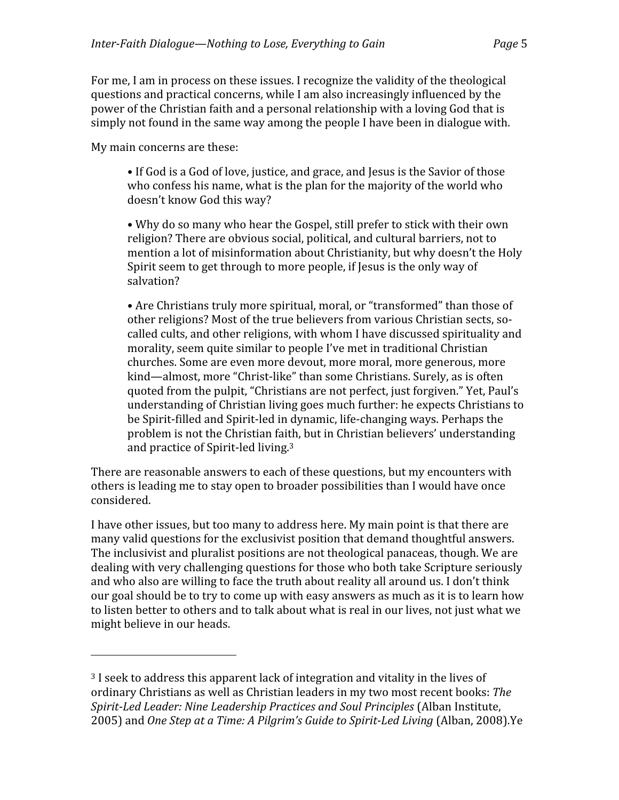For me, I am in process on these issues. I recognize the validity of the theological questions and practical concerns, while I am also increasingly influenced by the power of the Christian faith and a personal relationship with a loving God that is simply not found in the same way among the people I have been in dialogue with.

My main concerns are these:

• If God is a God of love, justice, and grace, and Jesus is the Savior of those who confess his name, what is the plan for the majority of the world who doesn't know God this way?

• Why do so many who hear the Gospel, still prefer to stick with their own religion? There are obvious social, political, and cultural barriers, not to mention a lot of misinformation about Christianity, but why doesn't the Holy Spirit seem to get through to more people, if Jesus is the only way of salvation?

• Are Christians truly more spiritual, moral, or "transformed" than those of other religions? Most of the true believers from various Christian sects, so‐ called cults, and other religions, with whom I have discussed spirituality and morality, seem quite similar to people I've met in traditional Christian churches. Some are even more devout, more moral, more generous, more kind—almost, more "Christ-like" than some Christians. Surely, as is often quoted from the pulpit, "Christians are not perfect, just forgiven." Yet, Paul's understanding of Christian living goes much further: he expects Christians to be Spirit‐filled and Spirit‐led in dynamic, life‐changing ways. Perhaps the problem is not the Christian faith, but in Christian believers' understanding and practice of Spirit‐led living.3

There are reasonable answers to each of these questions, but my encounters with others is leading me to stay open to broader possibilities than I would have once considered.

I have other issues, but too many to address here. My main point is that there are many valid questions for the exclusivist position that demand thoughtful answers. The inclusivist and pluralist positions are not theological panaceas, though. We are dealing with very challenging questions for those who both take Scripture seriously and who also are willing to face the truth about reality all around us. I don't think our goal should be to try to come up with easy answers as much as it is to learn how to listen better to others and to talk about what is real in our lives, not just what we might believe in our heads.

<sup>&</sup>lt;sup>3</sup> I seek to address this apparent lack of integration and vitality in the lives of ordinary Christians as well as Christian leaders in my two most recent books: *The SpiritLed Leader: Nine Leadership Practices and Soul Principles* (Alban Institute, 2005) and *One Step at a Time: A Pilgrim's Guide to SpiritLed Living* (Alban, 2008).Ye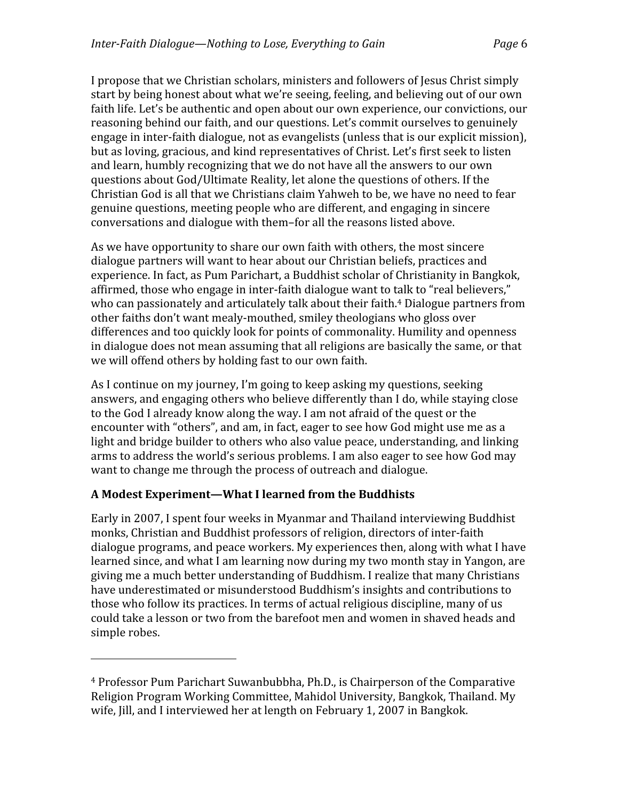I propose that we Christian scholars, ministers and followers of Jesus Christ simply start by being honest about what we're seeing, feeling, and believing out of our own faith life. Let's be authentic and open about our own experience, our convictions, our reasoning behind our faith, and our questions. Let's commit ourselves to genuinely engage in inter-faith dialogue, not as evangelists (unless that is our explicit mission), but as loving, gracious, and kind representatives of Christ. Let's first seek to listen and learn, humbly recognizing that we do not have all the answers to our own questions about God/Ultimate Reality, let alone the questions of others. If the Christian God is all that we Christians claim Yahweh to be, we have no need to fear genuine questions, meeting people who are different, and engaging in sincere conversations and dialogue with them–for all the reasons listed above.

As we have opportunity to share our own faith with others, the most sincere dialogue partners will want to hear about our Christian beliefs, practices and experience. In fact, as Pum Parichart, a Buddhist scholar of Christianity in Bangkok, affirmed, those who engage in inter‐faith dialogue want to talk to "real believers," who can passionately and articulately talk about their faith.<sup>4</sup> Dialogue partners from other faiths don't want mealy‐mouthed, smiley theologians who gloss over differences and too quickly look for points of commonality. Humility and openness in dialogue does not mean assuming that all religions are basically the same, or that we will offend others by holding fast to our own faith.

As I continue on my journey, I'm going to keep asking my questions, seeking answers, and engaging others who believe differently than I do, while staying close to the God I already know along the way. I am not afraid of the quest or the encounter with "others", and am, in fact, eager to see how God might use me as a light and bridge builder to others who also value peace, understanding, and linking arms to address the world's serious problems. I am also eager to see how God may want to change me through the process of outreach and dialogue.

# **A Modest Experiment—What I learned from the Buddhists**

Early in 2007, I spent four weeks in Myanmar and Thailand interviewing Buddhist monks, Christian and Buddhist professors of religion, directors of inter‐faith dialogue programs, and peace workers. My experiences then, along with what I have learned since, and what I am learning now during my two month stay in Yangon, are giving me a much better understanding of Buddhism. I realize that many Christians have underestimated or misunderstood Buddhism's insights and contributions to those who follow its practices. In terms of actual religious discipline, many of us could take a lesson or two from the barefoot men and women in shaved heads and simple robes.

<sup>4</sup> Professor Pum Parichart Suwanbubbha, Ph.D., is Chairperson of the Comparative Religion Program Working Committee, Mahidol University, Bangkok, Thailand. My wife, Jill, and I interviewed her at length on February 1, 2007 in Bangkok.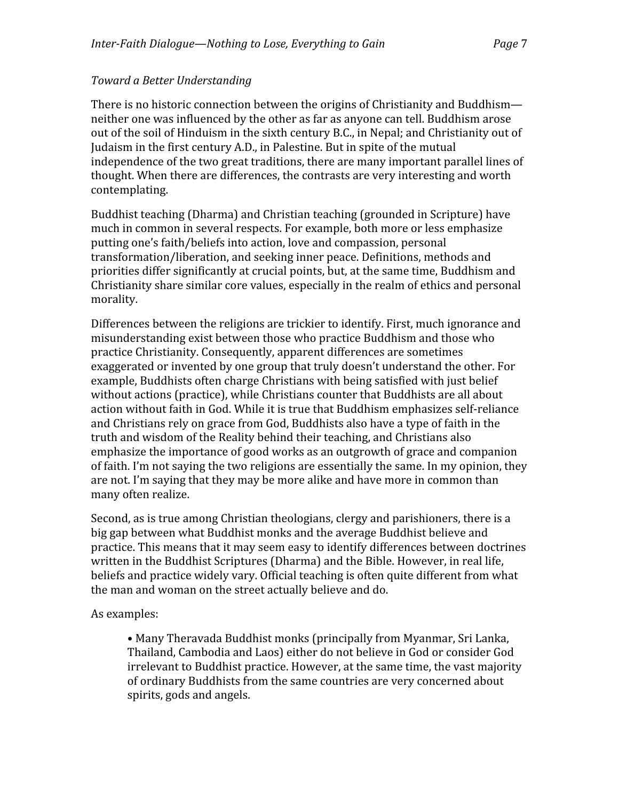# *Toward a Better Understanding*

There is no historic connection between the origins of Christianity and Buddhism neither one was influenced by the other as far as anyone can tell. Buddhism arose out of the soil of Hinduism in the sixth century B.C., in Nepal; and Christianity out of Judaism in the first century A.D., in Palestine. But in spite of the mutual independence of the two great traditions, there are many important parallel lines of thought. When there are differences, the contrasts are very interesting and worth contemplating.

Buddhist teaching (Dharma) and Christian teaching (grounded in Scripture) have much in common in several respects. For example, both more or less emphasize putting one's faith/beliefs into action, love and compassion, personal transformation/liberation, and seeking inner peace. Definitions, methods and priorities differ significantly at crucial points, but, at the same time, Buddhism and Christianity share similar core values, especially in the realm of ethics and personal morality.

Differences between the religions are trickier to identify. First, much ignorance and misunderstanding exist between those who practice Buddhism and those who practice Christianity. Consequently, apparent differences are sometimes exaggerated or invented by one group that truly doesn't understand the other. For example, Buddhists often charge Christians with being satisfied with just belief without actions (practice), while Christians counter that Buddhists are all about action without faith in God. While it is true that Buddhism emphasizes self‐reliance and Christians rely on grace from God, Buddhists also have a type of faith in the truth and wisdom of the Reality behind their teaching, and Christians also emphasize the importance of good works as an outgrowth of grace and companion of faith. I'm not saying the two religions are essentially the same. In my opinion, they are not. I'm saying that they may be more alike and have more in common than many often realize.

Second, as is true among Christian theologians, clergy and parishioners, there is a big gap between what Buddhist monks and the average Buddhist believe and practice. This means that it may seem easy to identify differences between doctrines written in the Buddhist Scriptures (Dharma) and the Bible. However, in real life, beliefs and practice widely vary. Official teaching is often quite different from what the man and woman on the street actually believe and do.

As examples:

• Many Theravada Buddhist monks (principally from Myanmar, Sri Lanka, Thailand, Cambodia and Laos) either do not believe in God or consider God irrelevant to Buddhist practice. However, at the same time, the vast majority of ordinary Buddhists from the same countries are very concerned about spirits, gods and angels.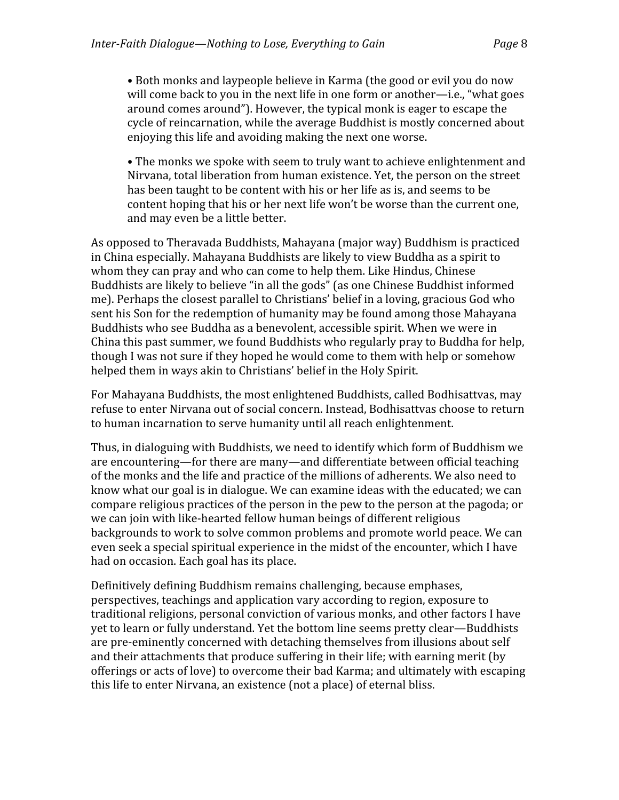• Both monks and laypeople believe in Karma (the good or evil you do now will come back to you in the next life in one form or another—i.e., "what goes around comes around"). However, the typical monk is eager to escape the cycle of reincarnation, while the average Buddhist is mostly concerned about enjoying this life and avoiding making the next one worse.

• The monks we spoke with seem to truly want to achieve enlightenment and Nirvana, total liberation from human existence. Yet, the person on the street has been taught to be content with his or her life as is, and seems to be content hoping that his or her next life won't be worse than the current one, and may even be a little better.

As opposed to Theravada Buddhists, Mahayana (major way) Buddhism is practiced in China especially. Mahayana Buddhists are likely to view Buddha as a spirit to whom they can pray and who can come to help them. Like Hindus, Chinese Buddhists are likely to believe "in all the gods" (as one Chinese Buddhist informed me). Perhaps the closest parallel to Christians' belief in a loving, gracious God who sent his Son for the redemption of humanity may be found among those Mahayana Buddhists who see Buddha as a benevolent, accessible spirit. When we were in China this past summer, we found Buddhists who regularly pray to Buddha for help, though I was not sure if they hoped he would come to them with help or somehow helped them in ways akin to Christians' belief in the Holy Spirit.

For Mahayana Buddhists, the most enlightened Buddhists, called Bodhisattvas, may refuse to enter Nirvana out of social concern. Instead, Bodhisattvas choose to return to human incarnation to serve humanity until all reach enlightenment.

Thus, in dialoguing with Buddhists, we need to identify which form of Buddhism we are encountering—for there are many—and differentiate between official teaching of the monks and the life and practice of the millions of adherents. We also need to know what our goal is in dialogue. We can examine ideas with the educated; we can compare religious practices of the person in the pew to the person at the pagoda; or we can join with like‐hearted fellow human beings of different religious backgrounds to work to solve common problems and promote world peace. We can even seek a special spiritual experience in the midst of the encounter, which I have had on occasion. Each goal has its place.

Definitively defining Buddhism remains challenging, because emphases, perspectives, teachings and application vary according to region, exposure to traditional religions, personal conviction of various monks, and other factors I have yet to learn or fully understand. Yet the bottom line seems pretty clear—Buddhists are pre‐eminently concerned with detaching themselves from illusions about self and their attachments that produce suffering in their life; with earning merit (by offerings or acts of love) to overcome their bad Karma; and ultimately with escaping this life to enter Nirvana, an existence (not a place) of eternal bliss.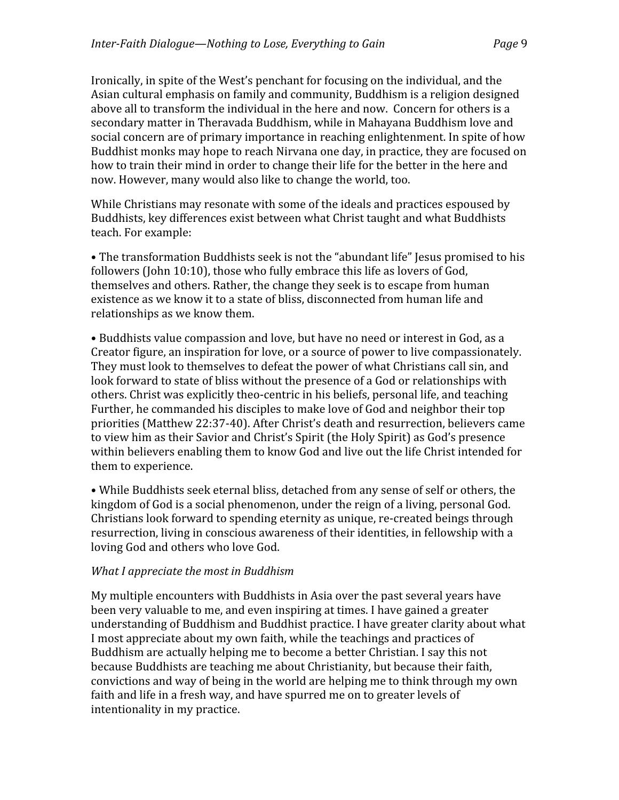Ironically, in spite of the West's penchant for focusing on the individual, and the Asian cultural emphasis on family and community, Buddhism is a religion designed above all to transform the individual in the here and now. Concern for others is a secondary matter in Theravada Buddhism, while in Mahayana Buddhism love and social concern are of primary importance in reaching enlightenment. In spite of how Buddhist monks may hope to reach Nirvana one day, in practice, they are focused on how to train their mind in order to change their life for the better in the here and now. However, many would also like to change the world, too.

While Christians may resonate with some of the ideals and practices espoused by Buddhists, key differences exist between what Christ taught and what Buddhists teach. For example:

• The transformation Buddhists seek is not the "abundant life" Jesus promised to his followers (John 10:10), those who fully embrace this life as lovers of God, themselves and others. Rather, the change they seek is to escape from human existence as we know it to a state of bliss, disconnected from human life and relationships as we know them.

• Buddhists value compassion and love, but have no need or interest in God, as a Creator figure, an inspiration for love, or a source of power to live compassionately. They must look to themselves to defeat the power of what Christians call sin, and look forward to state of bliss without the presence of a God or relationships with others. Christ was explicitly theo‐centric in his beliefs, personal life, and teaching Further, he commanded his disciples to make love of God and neighbor their top priorities (Matthew 22:37‐40). After Christ's death and resurrection, believers came to view him as their Savior and Christ's Spirit (the Holy Spirit) as God's presence within believers enabling them to know God and live out the life Christ intended for them to experience.

• While Buddhists seek eternal bliss, detached from any sense of self or others, the kingdom of God is a social phenomenon, under the reign of a living, personal God. Christians look forward to spending eternity as unique, re‐created beings through resurrection, living in conscious awareness of their identities, in fellowship with a loving God and others who love God.

#### *What I appreciate the most in Buddhism*

My multiple encounters with Buddhists in Asia over the past several years have been very valuable to me, and even inspiring at times. I have gained a greater understanding of Buddhism and Buddhist practice. I have greater clarity about what I most appreciate about my own faith, while the teachings and practices of Buddhism are actually helping me to become a better Christian. I say this not because Buddhists are teaching me about Christianity, but because their faith, convictions and way of being in the world are helping me to think through my own faith and life in a fresh way, and have spurred me on to greater levels of intentionality in my practice.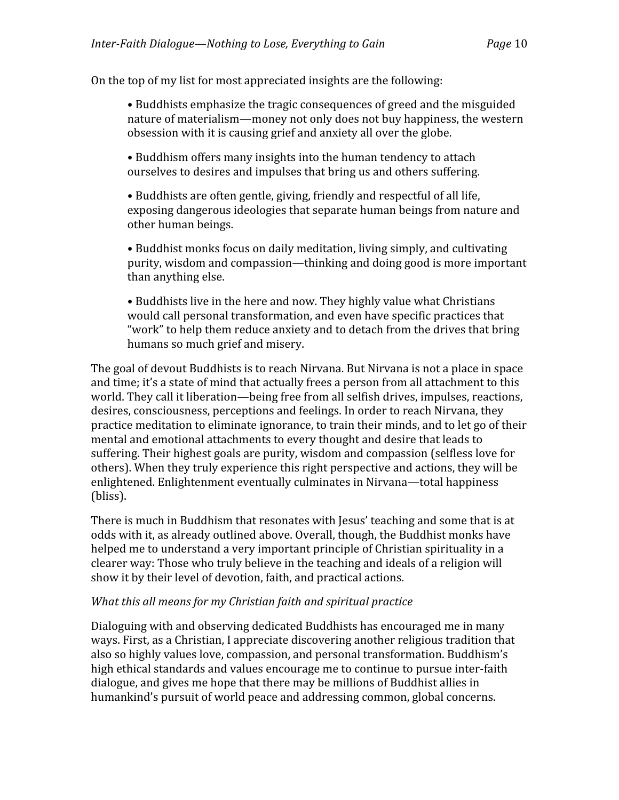On the top of my list for most appreciated insights are the following:

• Buddhists emphasize the tragic consequences of greed and the misguided nature of materialism—money not only does not buy happiness, the western obsession with it is causing grief and anxiety all over the globe.

• Buddhism offers many insights into the human tendency to attach ourselves to desires and impulses that bring us and others suffering.

• Buddhists are often gentle, giving, friendly and respectful of all life, exposing dangerous ideologies that separate human beings from nature and other human beings.

• Buddhist monks focus on daily meditation, living simply, and cultivating purity, wisdom and compassion—thinking and doing good is more important than anything else.

• Buddhists live in the here and now. They highly value what Christians would call personal transformation, and even have specific practices that "work" to help them reduce anxiety and to detach from the drives that bring humans so much grief and misery.

The goal of devout Buddhists is to reach Nirvana. But Nirvana is not a place in space and time; it's a state of mind that actually frees a person from all attachment to this world. They call it liberation—being free from all selfish drives, impulses, reactions, desires, consciousness, perceptions and feelings. In order to reach Nirvana, they practice meditation to eliminate ignorance, to train their minds, and to let go of their mental and emotional attachments to every thought and desire that leads to suffering. Their highest goals are purity, wisdom and compassion (selfless love for others). When they truly experience this right perspective and actions, they will be enlightened. Enlightenment eventually culminates in Nirvana—total happiness (bliss).

There is much in Buddhism that resonates with Jesus' teaching and some that is at odds with it, as already outlined above. Overall, though, the Buddhist monks have helped me to understand a very important principle of Christian spirituality in a clearer way: Those who truly believe in the teaching and ideals of a religion will show it by their level of devotion, faith, and practical actions.

#### *What this all means for my Christian faith and spiritual practice*

Dialoguing with and observing dedicated Buddhists has encouraged me in many ways. First, as a Christian, I appreciate discovering another religious tradition that also so highly values love, compassion, and personal transformation. Buddhism's high ethical standards and values encourage me to continue to pursue inter‐faith dialogue, and gives me hope that there may be millions of Buddhist allies in humankind's pursuit of world peace and addressing common, global concerns.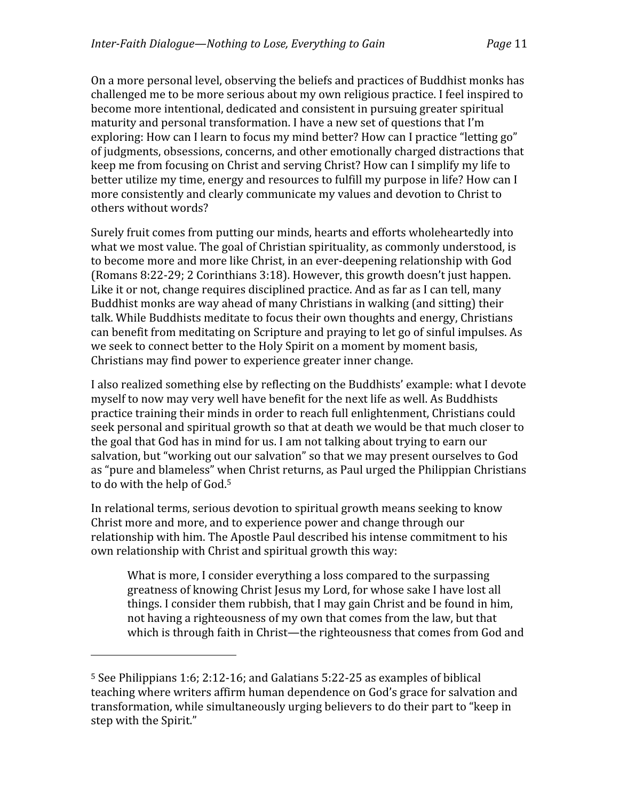On a more personal level, observing the beliefs and practices of Buddhist monks has challenged me to be more serious about my own religious practice. I feel inspired to become more intentional, dedicated and consistent in pursuing greater spiritual maturity and personal transformation. I have a new set of questions that I'm exploring: How can I learn to focus my mind better? How can I practice "letting go" of judgments, obsessions, concerns, and other emotionally charged distractions that keep me from focusing on Christ and serving Christ? How can I simplify my life to better utilize my time, energy and resources to fulfill my purpose in life? How can I more consistently and clearly communicate my values and devotion to Christ to others without words?

Surely fruit comes from putting our minds, hearts and efforts wholeheartedly into what we most value. The goal of Christian spirituality, as commonly understood, is to become more and more like Christ, in an ever‐deepening relationship with God (Romans 8:22‐29; 2 Corinthians 3:18). However, this growth doesn't just happen. Like it or not, change requires disciplined practice. And as far as I can tell, many Buddhist monks are way ahead of many Christians in walking (and sitting) their talk. While Buddhists meditate to focus their own thoughts and energy, Christians can benefit from meditating on Scripture and praying to let go of sinful impulses. As we seek to connect better to the Holy Spirit on a moment by moment basis, Christians may find power to experience greater inner change.

I also realized something else by reflecting on the Buddhists' example: what I devote myself to now may very well have benefit for the next life as well. As Buddhists practice training their minds in order to reach full enlightenment, Christians could seek personal and spiritual growth so that at death we would be that much closer to the goal that God has in mind for us. I am not talking about trying to earn our salvation, but "working out our salvation" so that we may present ourselves to God as "pure and blameless" when Christ returns, as Paul urged the Philippian Christians to do with the help of God.5

In relational terms, serious devotion to spiritual growth means seeking to know Christ more and more, and to experience power and change through our relationship with him. The Apostle Paul described his intense commitment to his own relationship with Christ and spiritual growth this way:

What is more, I consider everything a loss compared to the surpassing greatness of knowing Christ Jesus my Lord, for whose sake I have lost all things. I consider them rubbish, that I may gain Christ and be found in him, not having a righteousness of my own that comes from the law, but that which is through faith in Christ—the righteousness that comes from God and

<sup>5</sup> See Philippians 1:6; 2:12‐16; and Galatians 5:22‐25 as examples of biblical teaching where writers affirm human dependence on God's grace for salvation and transformation, while simultaneously urging believers to do their part to "keep in step with the Spirit."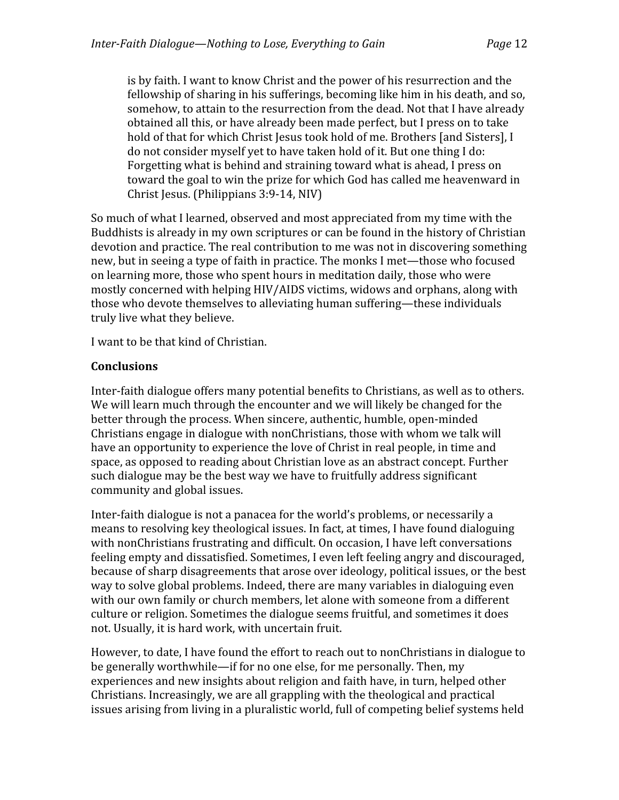is by faith. I want to know Christ and the power of his resurrection and the fellowship of sharing in his sufferings, becoming like him in his death, and so, somehow, to attain to the resurrection from the dead. Not that I have already obtained all this, or have already been made perfect, but I press on to take hold of that for which Christ Jesus took hold of me. Brothers [and Sisters], I do not consider myself yet to have taken hold of it. But one thing I do: Forgetting what is behind and straining toward what is ahead, I press on toward the goal to win the prize for which God has called me heavenward in Christ Jesus. (Philippians 3:9‐14, NIV)

So much of what I learned, observed and most appreciated from my time with the Buddhists is already in my own scriptures or can be found in the history of Christian devotion and practice. The real contribution to me was not in discovering something new, but in seeing a type of faith in practice. The monks I met—those who focused on learning more, those who spent hours in meditation daily, those who were mostly concerned with helping HIV/AIDS victims, widows and orphans, along with those who devote themselves to alleviating human suffering—these individuals truly live what they believe.

I want to be that kind of Christian.

# **Conclusions**

Inter-faith dialogue offers many potential benefits to Christians, as well as to others. We will learn much through the encounter and we will likely be changed for the better through the process. When sincere, authentic, humble, open-minded Christians engage in dialogue with nonChristians, those with whom we talk will have an opportunity to experience the love of Christ in real people, in time and space, as opposed to reading about Christian love as an abstract concept. Further such dialogue may be the best way we have to fruitfully address significant community and global issues.

Inter‐faith dialogue is not a panacea for the world's problems, or necessarily a means to resolving key theological issues. In fact, at times, I have found dialoguing with nonChristians frustrating and difficult. On occasion, I have left conversations feeling empty and dissatisfied. Sometimes, I even left feeling angry and discouraged, because of sharp disagreements that arose over ideology, political issues, or the best way to solve global problems. Indeed, there are many variables in dialoguing even with our own family or church members, let alone with someone from a different culture or religion. Sometimes the dialogue seems fruitful, and sometimes it does not. Usually, it is hard work, with uncertain fruit.

However, to date, I have found the effort to reach out to nonChristians in dialogue to be generally worthwhile—if for no one else, for me personally. Then, my experiences and new insights about religion and faith have, in turn, helped other Christians. Increasingly, we are all grappling with the theological and practical issues arising from living in a pluralistic world, full of competing belief systems held